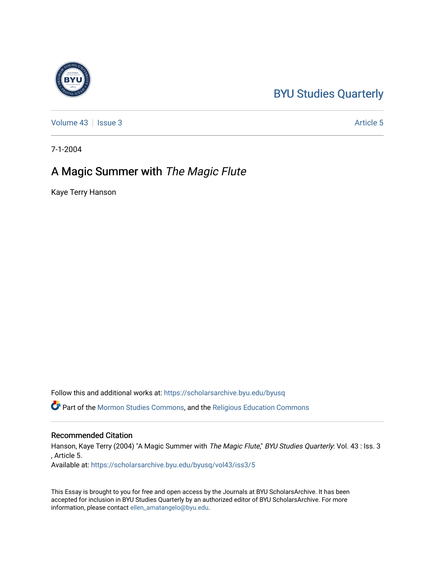# [BYU Studies Quarterly](https://scholarsarchive.byu.edu/byusq)

[Volume 43](https://scholarsarchive.byu.edu/byusq/vol43) | [Issue 3](https://scholarsarchive.byu.edu/byusq/vol43/iss3) Article 5

7-1-2004

## A Magic Summer with The Magic Flute

Kaye Terry Hanson

Follow this and additional works at: [https://scholarsarchive.byu.edu/byusq](https://scholarsarchive.byu.edu/byusq?utm_source=scholarsarchive.byu.edu%2Fbyusq%2Fvol43%2Fiss3%2F5&utm_medium=PDF&utm_campaign=PDFCoverPages) 

Part of the [Mormon Studies Commons](http://network.bepress.com/hgg/discipline/1360?utm_source=scholarsarchive.byu.edu%2Fbyusq%2Fvol43%2Fiss3%2F5&utm_medium=PDF&utm_campaign=PDFCoverPages), and the [Religious Education Commons](http://network.bepress.com/hgg/discipline/1414?utm_source=scholarsarchive.byu.edu%2Fbyusq%2Fvol43%2Fiss3%2F5&utm_medium=PDF&utm_campaign=PDFCoverPages) 

### Recommended Citation

Hanson, Kaye Terry (2004) "A Magic Summer with The Magic Flute," BYU Studies Quarterly: Vol. 43 : Iss. 3 , Article 5.

Available at: [https://scholarsarchive.byu.edu/byusq/vol43/iss3/5](https://scholarsarchive.byu.edu/byusq/vol43/iss3/5?utm_source=scholarsarchive.byu.edu%2Fbyusq%2Fvol43%2Fiss3%2F5&utm_medium=PDF&utm_campaign=PDFCoverPages)

This Essay is brought to you for free and open access by the Journals at BYU ScholarsArchive. It has been accepted for inclusion in BYU Studies Quarterly by an authorized editor of BYU ScholarsArchive. For more information, please contact [ellen\\_amatangelo@byu.edu.](mailto:ellen_amatangelo@byu.edu)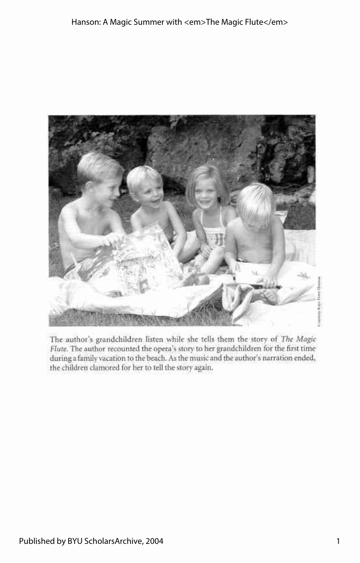

The author's grandchildren listen while she tells them the story of *The Magic Flute.* The author recounted the opera's story to her grandchildren for the first time during a family vacation to the beach. As the music and the author's narration ended, the children clamored for her to tell the story again.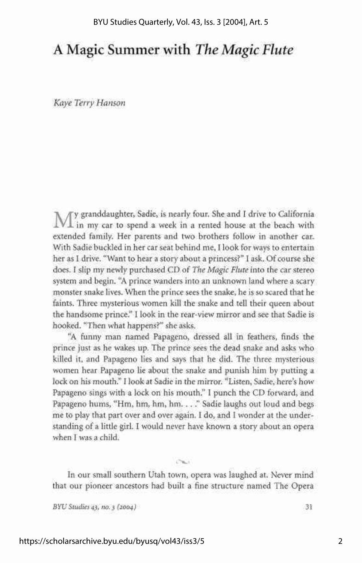### A Magic Summer with *The Magic Flute*

*Kaye Terry Hanson* 

We granddaughter, Sadie, is nearly four. She and I drive to California  $\perp$  in my car to spend a week in a rented house at the beach with extended family. Her parents and two brothers follow in another car. With Sadie buckled in her car seat behind me, I look for ways to entertain her as I drive. "Want to hear a story about a princess?" I ask. Of course she does. I slip my newly purchased CD of *The Magic Flute* into the car stereo system and begin. "A prince wanders into an unknown land where a scary monster snake lives. When the prince sees the snake, he is so scared that he faints. Three mysterious women kill the snake and tell their queen about the handsome prince." I look in the rear-view mirror and see that Sadie is hooked. "Then what happens?" she asks.

"A funny man named Papageno, dressed all in feathers, finds the prince just as he wakes up. The prince sees the dead snake and asks who killed it, and Papageno lies and says that he did. The three mysterious women hear Papageno lie about the snake and punish him by putting a lock on his mouth." I look at Sadie in the mirror. "Listen, Sadie, here's how Papageno sings with a lock on his mouth." I punch the CD forward, and Papageno hums, "Hm, hm, hm, hm. . . ." Sadie laughs out loud and begs me to play that part over and over again. I do, and I wonder at the understanding of a little girl. I would never have known a story about an opera when I was a child.

In our small southern Utah town, opera was laughed at. Never mind that our pioneer ancestors had built a fine structure named The Opera

 $C_{\text{max}}$ 

*BYU Studies 43, no. 3 (2004)* 31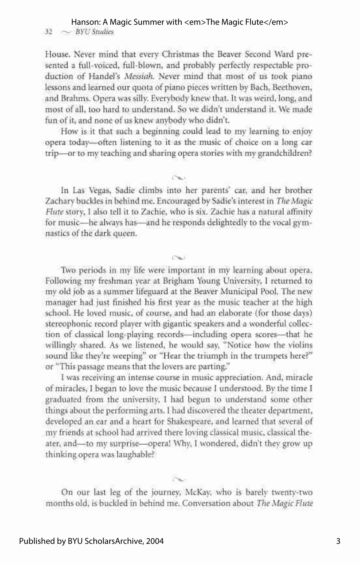#### Hanson: A Magic Summer with <em>The Magic Flute</em>

32 ~ *BYUStudies* 

House. Never mind that every Christmas the Beaver Second Ward presented a full-voiced, full-blown, and probably perfectly respectable production of Handel's *Messiah.* Never mind that most of us took piano lessons and learned our quota of piano pieces written by Bach, Beethoven, and Brahms. Opera was silly. Everybody knew that. It was weird, long, and most of all, too hard to understand. So we didn't understand it. We made fun of it, and none of us knew anybody who didn't.

How is it that such a beginning could lead to my learning to enjoy opera today—often listening to it as the music of choice on a long car trip—or to my teaching and sharing opera stories with my grandchildren?

In Las Vegas, Sadie climbs into her parents' car, and her brother Zachary buckles in behind me. Encouraged by Sadie's interest in *The Magic Flute* story, I also tell it to Zachie, who is six. Zachie has a natural affinity for music—he always has—and he responds delightedly to the vocal gymnastics of the dark queen.

CN.

Two periods in my life were important in my learning about opera. Following my freshman year at Brigham Young University, I returned to my old job as a summer lifeguard at the Beaver Municipal Pool. The new manager had just finished his first year as the music teacher at the high school. He loved music, of course, and had an elaborate (for those days) stereophonic record player with gigantic speakers and a wonderful collection of classical long-playing records—including opera scores—that he willingly shared. As we listened, he would say, "Notice how the violins sound like they're weeping" or "Hear the triumph in the trumpets here?" or "This passage means that the lovers are parting."

I was receiving an intense course in music appreciation. And, miracle of miracles, I began to love the music because I understood. By the time I graduated from the university, I had begun to understand some other things about the performing arts. I had discovered the theater department, developed an ear and a heart for Shakespeare, and learned that several of my friends at school had arrived there loving classical music, classical theater, and—to my surprise—opera! Why, I wondered, didn't they grow up thinking opera was laughable?

On our last leg of the journev, McKay, who is barelv twentv-two months old, is buckled in behind me. Conversation about *The Magic Flute*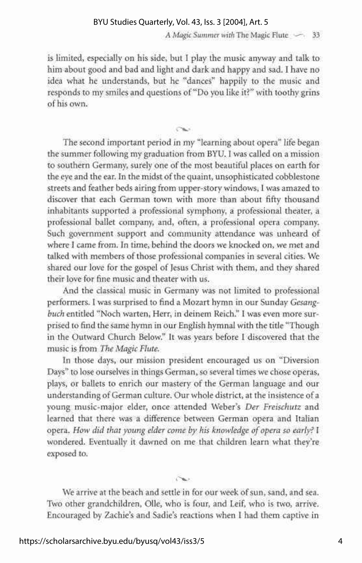#### BYU Studies Quarterly, Vol. 43, Iss. 3 [2004], Art. 5

*A Magic Summer with* The Magic Flute  $\sim$  33

is limited, especially on his side, but I play the music anyway and talk to him about good and bad and light and dark and happy and sad. I have no idea what he understands, but he "dances" happily to the music and responds to my smiles and questions of "Do you like it?" with toothy grins of his own.

Chi

The second important period in my "learning about opera" life began the summer following my graduation from BYU. I was called on a mission to southern Germany, surely one of the most beautiful places on earth for the eye and the ear. In the midst of the quaint, unsophisticated cobblestone streets and feather beds airing from upper-story windows, I was amazed to discover that each German town with more than about fifty thousand inhabitants supported a professional symphony, a professional theater, a professional ballet company, and, often, a professional opera company. Such government support and community attendance was unheard of where I came from. In time, behind the doors we knocked on, we met and talked with members of those professional companies in several cities. We shared our love for the gospel of lesus Christ with them, and they shared their love for fine music and theater with us.

And the classical music in Germany was not limited to professional performers. I was surprised to find a Mozart hymn in our Sunday *Gesangbuch* entitled "Noch warten, Herr, in deinem Reich." I was even more surprised to find the same hymn in our English hymnal with the title "Though in the Outward Church Below." It was years before I discovered that the music is from *The Magic Flute.* 

In those days, our mission president encouraged us on "Diversion Days" to lose ourselves in things German, so several times we chose operas, plays, or ballets to enrich our mastery of the German language and our understanding of German culture. Our whole district, at the insistence of a young music-major elder, once attended Weber's *Der Freischutz* and learned that there was a difference between German opera and Italian opera. *How did that young elder come by his knowledge of opera so early?* I wondered. Eventually it dawned on me that children learn what they're exposed to.

We arrive at the beach and settle in for our week of sun, sand, and sea. Two other grandchildren, Olle, who is four, and Leif, who is two, arrive. Encouraged by Zachie's and Sadie's reactions when I had them captive in

Chair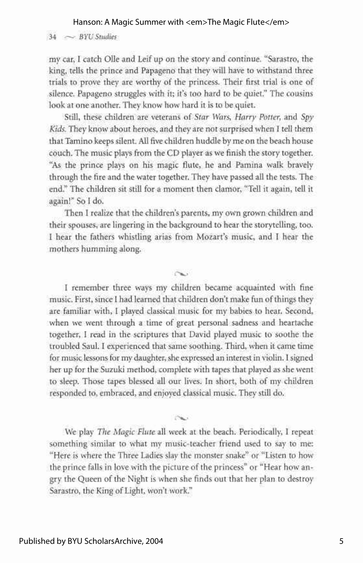#### Hanson: A Magic Summer with <em>The Magic Flute</em>

 $34 \sim$  *BYU Studies* 

my car, I catch Olle and Leif up on the story and continue. "Sarastro, the king, tells the prince and Papageno that they will have to withstand three trials to prove they are worthy of the princess. Their first trial is one of silence. Papageno struggles with it; it's too hard to be quiet." The cousins look at one another. They know how hard it is to be quiet.

Still, these children are veterans of *Star Wars, Harry Potter,* and *Spy Kids.* They know about heroes, and they are not surprised when I tell them that Tamino keeps silent. All five children huddle by me on the beach house couch. The music plays from the CD player as we finish the story together. "As the prince plays on his magic flute, he and Pamina walk bravely through the fire and the water together. They have passed all the tests. The end." The children sit still for a moment then clamor, "Tell it again, tell it again!" So I do.

Then I realize that the children's parents, my own grown children and their spouses, are lingering in the background to hear the storytelling, too. I hear the fathers whistling arias from Mozart's music, and I hear the mothers humming along.

**( X .** 

I remember three ways my children became acquainted with fine music. First, since I had learned that children don't make fun of things they are familiar with, I played classical music for my babies to hear. Second, when we went through a time of great personal sadness and heartache together, I read in the scriptures that David played music to soothe the troubled Saul. I experienced that same soothing. Third, when it came time for music lessons for my daughter, she expressed an interest in violin. I signed her up for the Suzuki method, complete with tapes that played as she went to sleep. Those tapes blessed all our lives. In short, both of my children responded to, embraced, and enjoyed classical music. They still do.

We play *The Magic Flute* all week at the beach. Periodically, I repeat something similar to what my music-teacher friend used to say to me: "Here is where the Three Ladies slay the monster snake" or "Listen to how the prince falls in love with the picture of the princess" or "Hear how angry the Queen of the Night is when she finds out that her plan to destroy Sarastro, the King of Light, won't work."

 $\sim$